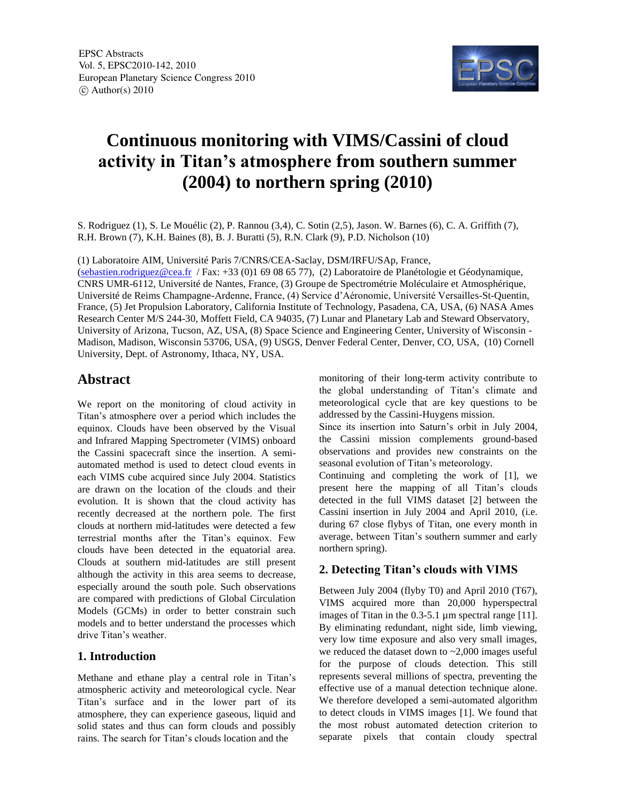

# **Continuous monitoring with VIMS/Cassini of cloud activity in Titan's atmosphere from southern summer (2004) to northern spring (2010)**

S. Rodriguez (1), S. Le Mouélic (2), P. Rannou (3,4), C. Sotin (2,5), Jason. W. Barnes (6), C. A. Griffith (7), R.H. Brown (7), K.H. Baines (8), B. J. Buratti (5), R.N. Clark (9), P.D. Nicholson (10)

(1) Laboratoire AIM, Université Paris 7/CNRS/CEA-Saclay, DSM/IRFU/SAp, France,

(sebastien.rodriguez@cea.fr / Fax: +33 (0)1 69 08 65 77), (2) Laboratoire de Planétologie et Géodynamique, CNRS UMR-6112, Université de Nantes, France, (3) Groupe de Spectrométrie Moléculaire et Atmosphérique, Université de Reims Champagne-Ardenne, France, (4) Service d'Aéronomie, Université Versailles-St-Quentin, France, (5) Jet Propulsion Laboratory, California Institute of Technology, Pasadena, CA, USA, (6) NASA Ames Research Center M/S 244-30, Moffett Field, CA 94035, (7) Lunar and Planetary Lab and Steward Observatory, University of Arizona, Tucson, AZ, USA, (8) Space Science and Engineering Center, University of Wisconsin - Madison, Madison, Wisconsin 53706, USA, (9) USGS, Denver Federal Center, Denver, CO, USA, (10) Cornell University, Dept. of Astronomy, Ithaca, NY, USA.

## **Abstract**

We report on the monitoring of cloud activity in Titan's atmosphere over a period which includes the equinox. Clouds have been observed by the Visual and Infrared Mapping Spectrometer (VIMS) onboard the Cassini spacecraft since the insertion. A semiautomated method is used to detect cloud events in each VIMS cube acquired since July 2004. Statistics are drawn on the location of the clouds and their evolution. It is shown that the cloud activity has recently decreased at the northern pole. The first clouds at northern mid-latitudes were detected a few terrestrial months after the Titan's equinox. Few clouds have been detected in the equatorial area. Clouds at southern mid-latitudes are still present although the activity in this area seems to decrease, especially around the south pole. Such observations are compared with predictions of Global Circulation Models (GCMs) in order to better constrain such models and to better understand the processes which drive Titan's weather.

#### **1. Introduction**

Methane and ethane play a central role in Titan's atmospheric activity and meteorological cycle. Near Titan's surface and in the lower part of its atmosphere, they can experience gaseous, liquid and solid states and thus can form clouds and possibly rains. The search for Titan's clouds location and the

monitoring of their long-term activity contribute to the global understanding of Titan's climate and meteorological cycle that are key questions to be addressed by the Cassini-Huygens mission.

Since its insertion into Saturn's orbit in July 2004, the Cassini mission complements ground-based observations and provides new constraints on the seasonal evolution of Titan's meteorology.

Continuing and completing the work of [1], we present here the mapping of all Titan's clouds detected in the full VIMS dataset [2] between the Cassini insertion in July 2004 and April 2010, (i.e. during 67 close flybys of Titan, one every month in average, between Titan's southern summer and early northern spring).

#### **2. Detecting Titan's clouds with VIMS**

Between July 2004 (flyby T0) and April 2010 (T67), VIMS acquired more than 20,000 hyperspectral images of Titan in the 0.3-5.1 µm spectral range [11]. By eliminating redundant, night side, limb viewing, very low time exposure and also very small images, we reduced the dataset down to ~2,000 images useful for the purpose of clouds detection. This still represents several millions of spectra, preventing the effective use of a manual detection technique alone. We therefore developed a semi-automated algorithm to detect clouds in VIMS images [1]. We found that the most robust automated detection criterion to separate pixels that contain cloudy spectral